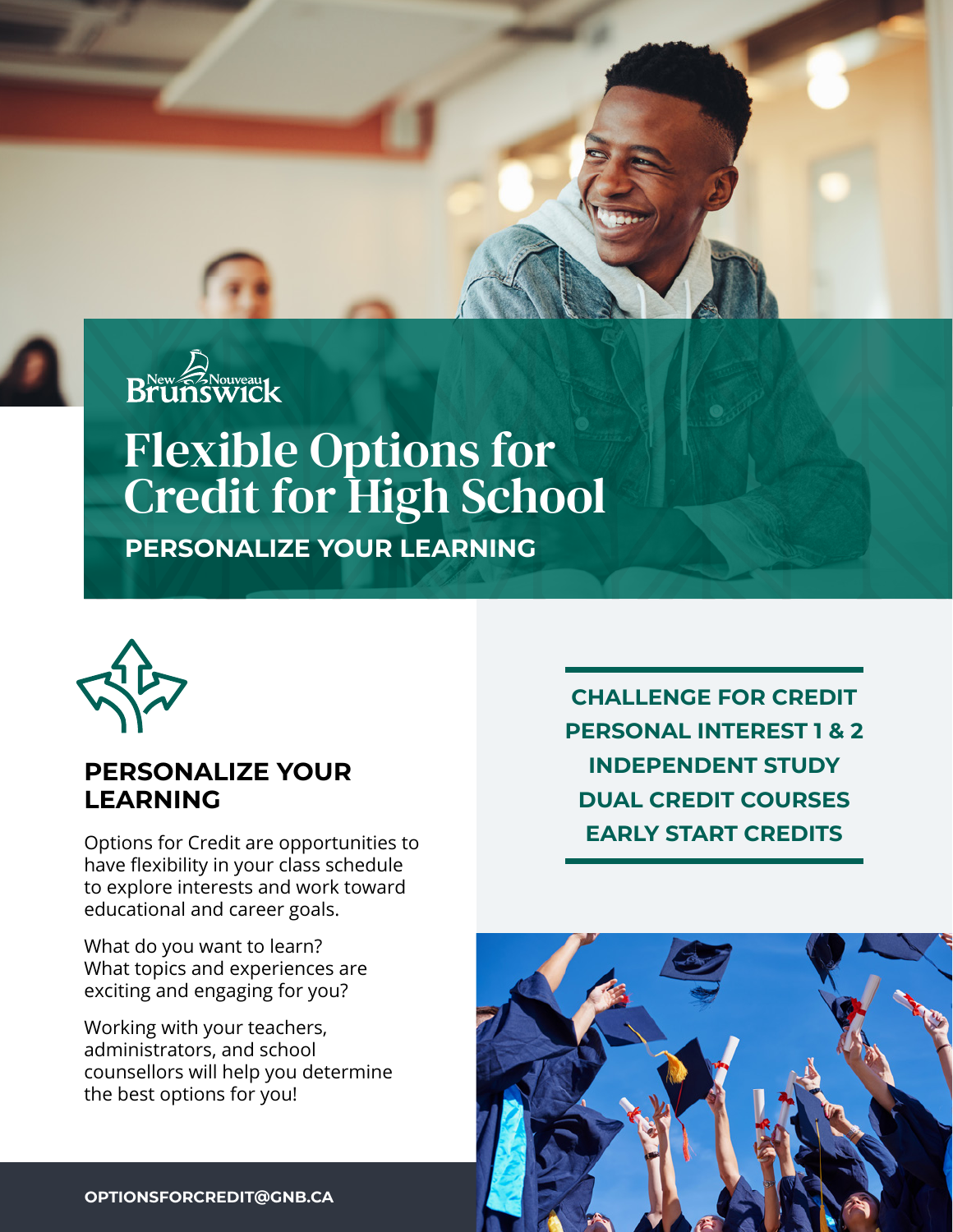



# Flexible Options for Credit for High School **PERSONALIZE YOUR LEARNING**



#### **PERSONALIZE YOUR LEARNING**

Options for Credit are opportunities to have flexibility in your class schedule to explore interests and work toward educational and career goals.

What do you want to learn? What topics and experiences are exciting and engaging for you?

Working with your teachers, administrators, and school counsellors will help you determine the best options for you!

**CHALLENGE FOR CREDIT PERSONAL INTEREST 1 & 2 INDEPENDENT STUDY DUAL CREDIT COURSES EARLY START CREDITS**